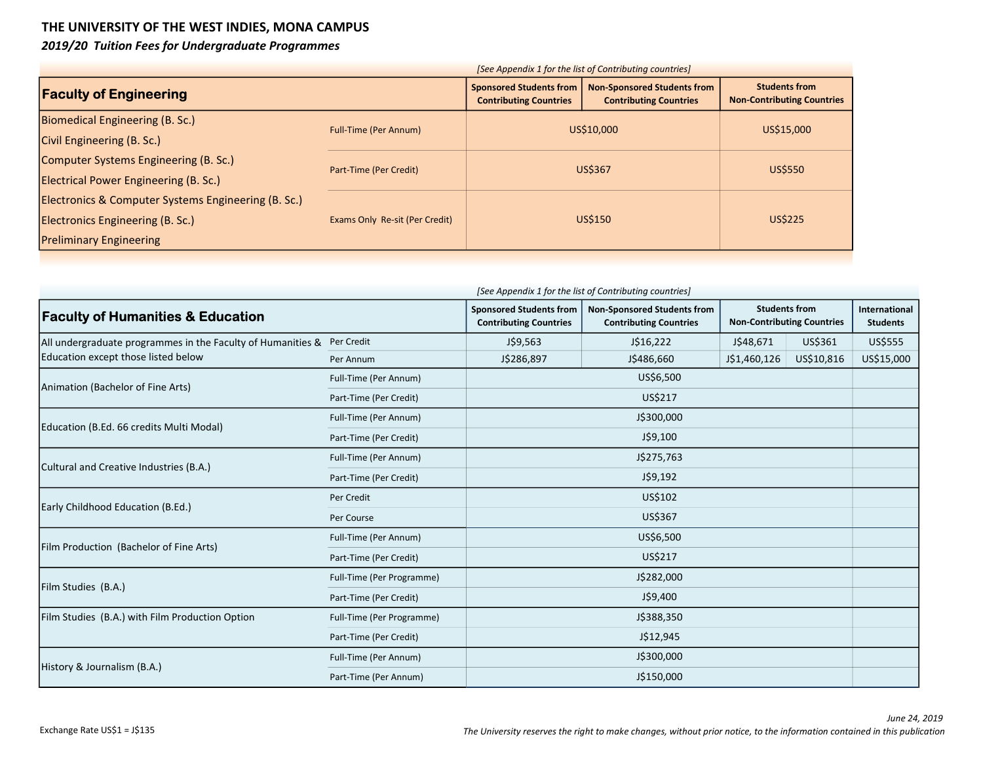## THE UNIVERSITY OF THE WEST INDIES, MONA CAMPUS

2019/20 Tuition Fees for Undergraduate Programmes

| [See Appendix 1 for the list of Contributing countries] |                                |                                                                 |                                                                     |                                                           |  |
|---------------------------------------------------------|--------------------------------|-----------------------------------------------------------------|---------------------------------------------------------------------|-----------------------------------------------------------|--|
| <b>Faculty of Engineering</b>                           |                                | <b>Sponsored Students from</b><br><b>Contributing Countries</b> | <b>Non-Sponsored Students from</b><br><b>Contributing Countries</b> | <b>Students from</b><br><b>Non-Contributing Countries</b> |  |
| Biomedical Engineering (B. Sc.)                         | <b>Full-Time (Per Annum)</b>   | US\$10,000                                                      |                                                                     | US\$15,000                                                |  |
| Civil Engineering (B. Sc.)                              |                                |                                                                 |                                                                     |                                                           |  |
| Computer Systems Engineering (B. Sc.)                   | Part-Time (Per Credit)         | <b>US\$367</b>                                                  |                                                                     | <b>US\$550</b>                                            |  |
| Electrical Power Engineering (B. Sc.)                   |                                |                                                                 |                                                                     |                                                           |  |
| Electronics & Computer Systems Engineering (B. Sc.)     |                                | US\$150                                                         |                                                                     |                                                           |  |
| Electronics Engineering (B. Sc.)                        | Exams Only Re-sit (Per Credit) |                                                                 |                                                                     | <b>US\$225</b>                                            |  |
| <b>Preliminary Engineering</b>                          |                                |                                                                 |                                                                     |                                                           |  |
|                                                         |                                |                                                                 |                                                                     |                                                           |  |

| [See Appendix 1 for the list of Contributing countries]     |                           |                                                                 |                                                                     |              |                                                                            |                |  |
|-------------------------------------------------------------|---------------------------|-----------------------------------------------------------------|---------------------------------------------------------------------|--------------|----------------------------------------------------------------------------|----------------|--|
| <b>Faculty of Humanities &amp; Education</b>                |                           | <b>Sponsored Students from</b><br><b>Contributing Countries</b> | <b>Non-Sponsored Students from</b><br><b>Contributing Countries</b> |              | <b>Students from</b><br>International<br><b>Non-Contributing Countries</b> |                |  |
| All undergraduate programmes in the Faculty of Humanities & | Per Credit                | J\$9,563                                                        | J\$16,222                                                           | J\$48,671    | US\$361                                                                    | <b>US\$555</b> |  |
| Education except those listed below                         | Per Annum                 | J\$286,897                                                      | J\$486,660                                                          | J\$1,460,126 | US\$10,816                                                                 | US\$15,000     |  |
| Animation (Bachelor of Fine Arts)                           | Full-Time (Per Annum)     |                                                                 | US\$6,500                                                           |              |                                                                            |                |  |
|                                                             | Part-Time (Per Credit)    |                                                                 | US\$217                                                             |              |                                                                            |                |  |
|                                                             | Full-Time (Per Annum)     |                                                                 | J\$300,000                                                          |              |                                                                            |                |  |
| Education (B.Ed. 66 credits Multi Modal)                    | Part-Time (Per Credit)    |                                                                 | J\$9,100                                                            |              |                                                                            |                |  |
| Cultural and Creative Industries (B.A.)                     | Full-Time (Per Annum)     |                                                                 |                                                                     |              |                                                                            |                |  |
|                                                             | Part-Time (Per Credit)    |                                                                 |                                                                     |              |                                                                            |                |  |
|                                                             | Per Credit                | US\$102                                                         |                                                                     |              |                                                                            |                |  |
| Early Childhood Education (B.Ed.)                           | Per Course                |                                                                 | US\$367                                                             |              |                                                                            |                |  |
| Film Production (Bachelor of Fine Arts)                     | Full-Time (Per Annum)     |                                                                 | US\$6,500                                                           |              |                                                                            |                |  |
|                                                             | Part-Time (Per Credit)    |                                                                 | US\$217                                                             |              |                                                                            |                |  |
|                                                             | Full-Time (Per Programme) | J\$282,000                                                      |                                                                     |              |                                                                            |                |  |
| Film Studies (B.A.)                                         | Part-Time (Per Credit)    |                                                                 | J\$9,400                                                            |              |                                                                            |                |  |
| Film Studies (B.A.) with Film Production Option             | Full-Time (Per Programme) |                                                                 | J\$388,350                                                          |              |                                                                            |                |  |
|                                                             | Part-Time (Per Credit)    |                                                                 | J\$12,945                                                           |              |                                                                            |                |  |
|                                                             | Full-Time (Per Annum)     |                                                                 | J\$300,000                                                          |              |                                                                            |                |  |
| History & Journalism (B.A.)                                 | Part-Time (Per Annum)     |                                                                 | J\$150,000                                                          |              |                                                                            |                |  |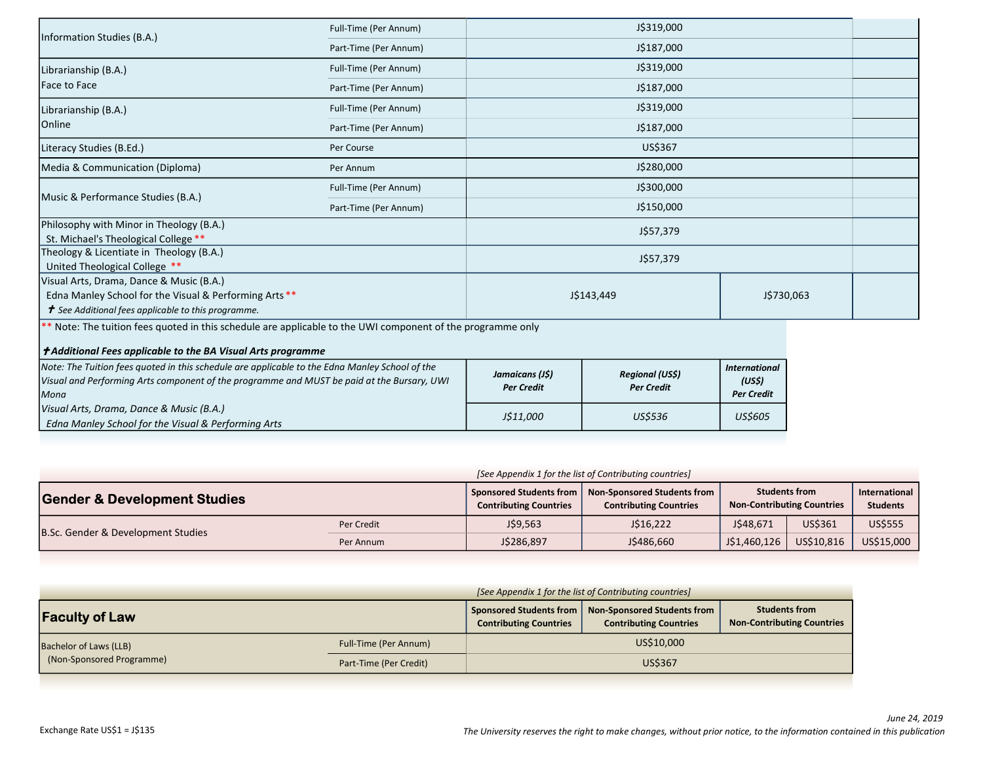|                                                                                                                                                                                          | Full-Time (Per Annum) | J\$319,000               |  |  |  |
|------------------------------------------------------------------------------------------------------------------------------------------------------------------------------------------|-----------------------|--------------------------|--|--|--|
| Information Studies (B.A.)                                                                                                                                                               | Part-Time (Per Annum) | J\$187,000               |  |  |  |
| Librarianship (B.A.)                                                                                                                                                                     | Full-Time (Per Annum) | J\$319,000               |  |  |  |
| Face to Face                                                                                                                                                                             | Part-Time (Per Annum) | J\$187,000               |  |  |  |
| Librarianship (B.A.)                                                                                                                                                                     | Full-Time (Per Annum) | J\$319,000               |  |  |  |
| Online                                                                                                                                                                                   | Part-Time (Per Annum) | J\$187,000               |  |  |  |
| Literacy Studies (B.Ed.)                                                                                                                                                                 | Per Course            | US\$367                  |  |  |  |
| Media & Communication (Diploma)                                                                                                                                                          | Per Annum             | J\$280,000               |  |  |  |
|                                                                                                                                                                                          | Full-Time (Per Annum) | J\$300,000               |  |  |  |
| Music & Performance Studies (B.A.)                                                                                                                                                       | Part-Time (Per Annum) | J\$150,000               |  |  |  |
| Philosophy with Minor in Theology (B.A.)<br>St. Michael's Theological College **                                                                                                         |                       | J\$57,379                |  |  |  |
| Theology & Licentiate in Theology (B.A.)<br>United Theological College **                                                                                                                |                       | J\$57,379                |  |  |  |
| Visual Arts, Drama, Dance & Music (B.A.)<br>Edna Manley School for the Visual & Performing Arts **<br>$\boldsymbol{\tau}$ See Additional fees applicable to this programme.              |                       | J\$143,449<br>J\$730,063 |  |  |  |
| ** Note: The tuition fees quoted in this schedule are applicable to the UWI component of the programme only<br>$\downarrow$ + Additional Fees annlicable to the RA Visual Arts programme |                       |                          |  |  |  |

| $\mu$ Additional rees applicable to the DA visual Arts programme                                                                                                                                     |                                      |                                            |                                                     |
|------------------------------------------------------------------------------------------------------------------------------------------------------------------------------------------------------|--------------------------------------|--------------------------------------------|-----------------------------------------------------|
| Note: The Tuition fees quoted in this schedule are applicable to the Edna Manley School of the<br>Visual and Performing Arts component of the programme and MUST be paid at the Bursary, UWI<br>Mona | Jamaicans (J\$)<br><b>Per Credit</b> | <b>Regional (USS)</b><br><b>Per Credit</b> | <b>International</b><br>(US\$)<br><b>Per Credit</b> |
| Visual Arts, Drama, Dance & Music (B.A.)<br>Edna Manley School for the Visual & Performing Arts                                                                                                      | J\$11,000                            | <b>US\$536</b>                             | <b>US\$605</b>                                      |

| [See Appendix 1 for the list of Contributing countries] |            |                                                            |                                                              |                                                           |            |                                  |  |  |
|---------------------------------------------------------|------------|------------------------------------------------------------|--------------------------------------------------------------|-----------------------------------------------------------|------------|----------------------------------|--|--|
| <b>Gender &amp; Development Studies</b>                 |            | Sponsored Students from  <br><b>Contributing Countries</b> | Non-Sponsored Students from<br><b>Contributing Countries</b> | <b>Students from</b><br><b>Non-Contributing Countries</b> |            | International<br><b>Students</b> |  |  |
| B.Sc. Gender & Development Studies                      | Per Credit | J\$9,563                                                   | J\$16,222                                                    | J\$48,671                                                 | US\$361    | <b>US\$555</b>                   |  |  |
|                                                         | Per Annum  | J\$286,897                                                 | J\$486,660                                                   | J\$1,460,126                                              | US\$10,816 | US\$15,000                       |  |  |

|                                                     | [See Appendix 1 for the list of Contributing countries] |                                                          |                                                                     |                                                           |  |
|-----------------------------------------------------|---------------------------------------------------------|----------------------------------------------------------|---------------------------------------------------------------------|-----------------------------------------------------------|--|
| <b>Faculty of Law</b>                               |                                                         | Sponsored Students from<br><b>Contributing Countries</b> | <b>Non-Sponsored Students from</b><br><b>Contributing Countries</b> | <b>Students from</b><br><b>Non-Contributing Countries</b> |  |
| Bachelor of Laws (LLB)<br>(Non-Sponsored Programme) | Full-Time (Per Annum)                                   | US\$10,000                                               |                                                                     |                                                           |  |
|                                                     | Part-Time (Per Credit)                                  | US\$367                                                  |                                                                     |                                                           |  |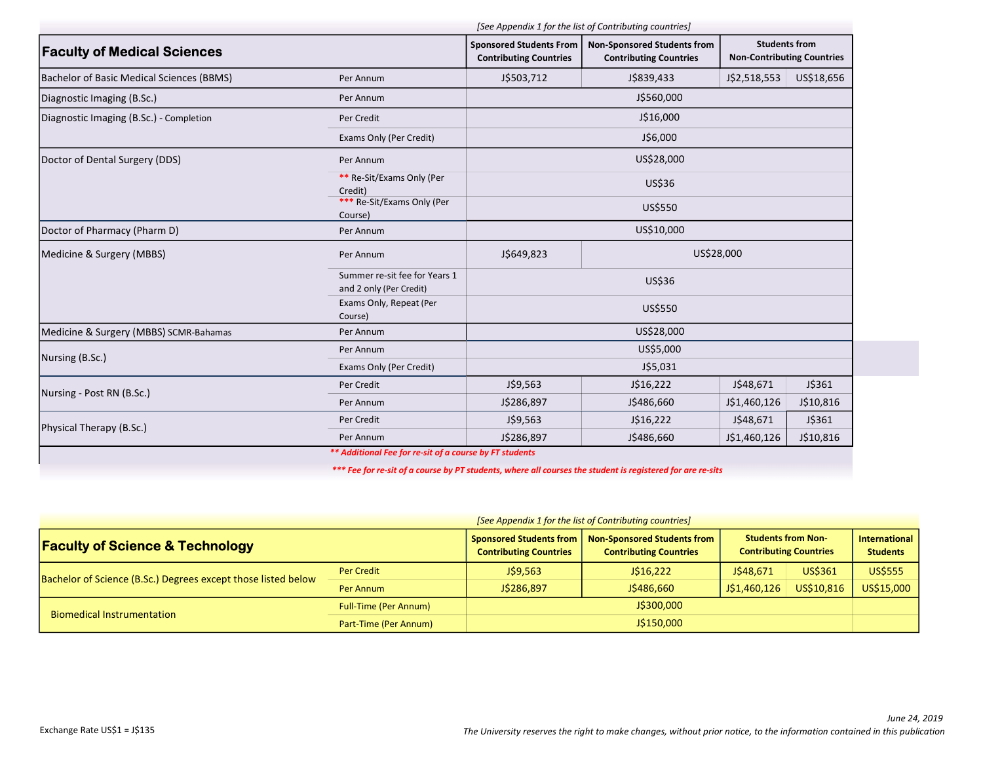|                                                          | <b>Sponsored Students From</b><br><b>Contributing Countries</b> | <b>Non-Sponsored Students from</b><br><b>Contributing Countries</b> | <b>Students from</b><br><b>Non-Contributing Countries</b> |                                                                       |
|----------------------------------------------------------|-----------------------------------------------------------------|---------------------------------------------------------------------|-----------------------------------------------------------|-----------------------------------------------------------------------|
| Per Annum                                                | J\$503,712                                                      | J\$839,433                                                          | J\$2,518,553                                              | US\$18,656                                                            |
| Per Annum                                                |                                                                 | J\$560,000                                                          |                                                           |                                                                       |
| Per Credit                                               |                                                                 | J\$16,000                                                           |                                                           |                                                                       |
| Exams Only (Per Credit)                                  |                                                                 | J\$6,000                                                            |                                                           |                                                                       |
| Per Annum                                                |                                                                 | US\$28,000                                                          |                                                           |                                                                       |
| ** Re-Sit/Exams Only (Per<br>Credit)                     |                                                                 | <b>US\$36</b>                                                       |                                                           |                                                                       |
| *** Re-Sit/Exams Only (Per<br>Course)                    | US\$550                                                         |                                                                     |                                                           |                                                                       |
| Per Annum                                                |                                                                 | US\$10,000                                                          |                                                           |                                                                       |
| Per Annum                                                | J\$649,823                                                      |                                                                     |                                                           |                                                                       |
| Summer re-sit fee for Years 1<br>and 2 only (Per Credit) |                                                                 | US\$36                                                              |                                                           |                                                                       |
| Exams Only, Repeat (Per<br>Course)                       | US\$550                                                         |                                                                     |                                                           |                                                                       |
| Per Annum                                                |                                                                 | US\$28,000                                                          |                                                           |                                                                       |
| Per Annum                                                |                                                                 | US\$5,000                                                           |                                                           |                                                                       |
| Exams Only (Per Credit)                                  |                                                                 | J\$5,031                                                            |                                                           |                                                                       |
| Per Credit                                               | J\$9,563                                                        | J\$16,222                                                           | J\$48,671                                                 | J\$361                                                                |
| Per Annum                                                | J\$286,897                                                      | J\$486,660                                                          | J\$1,460,126                                              | J\$10,816                                                             |
| Per Credit                                               | J\$9,563                                                        | J\$16,222                                                           | J\$48,671                                                 | J\$361                                                                |
|                                                          | J\$286,897                                                      | J\$486,660                                                          | J\$1,460,126                                              | J\$10,816                                                             |
|                                                          |                                                                 |                                                                     |                                                           | [See Appendix 1 for the list of Contributing countries]<br>US\$28,000 |

\*\*\* Fee for re-sit of a course by PT students, where all courses the student is registered for are re-sits

| [See Appendix 1 for the list of Contributing countries]       |                              |                                                          |                                                              |                                                            |            |                                         |  |
|---------------------------------------------------------------|------------------------------|----------------------------------------------------------|--------------------------------------------------------------|------------------------------------------------------------|------------|-----------------------------------------|--|
| <b>Faculty of Science &amp; Technology</b>                    |                              | Sponsored Students from<br><b>Contributing Countries</b> | Non-Sponsored Students from<br><b>Contributing Countries</b> | <b>Students from Non-</b><br><b>Contributing Countries</b> |            | <b>International</b><br><b>Students</b> |  |
| Bachelor of Science (B.Sc.) Degrees except those listed below | Per Credit                   | J\$9,563                                                 | J\$16,222                                                    | J\$48.671                                                  | US\$361    | <b>US\$555</b>                          |  |
|                                                               | Per Annum                    | J\$286,897                                               | J\$486,660                                                   | J\$1,460,126                                               | US\$10,816 | US\$15,000                              |  |
| <b>Biomedical Instrumentation</b>                             | <b>Full-Time (Per Annum)</b> | J\$300,000                                               |                                                              |                                                            |            |                                         |  |
|                                                               | Part-Time (Per Annum)        | J\$150,000                                               |                                                              |                                                            |            |                                         |  |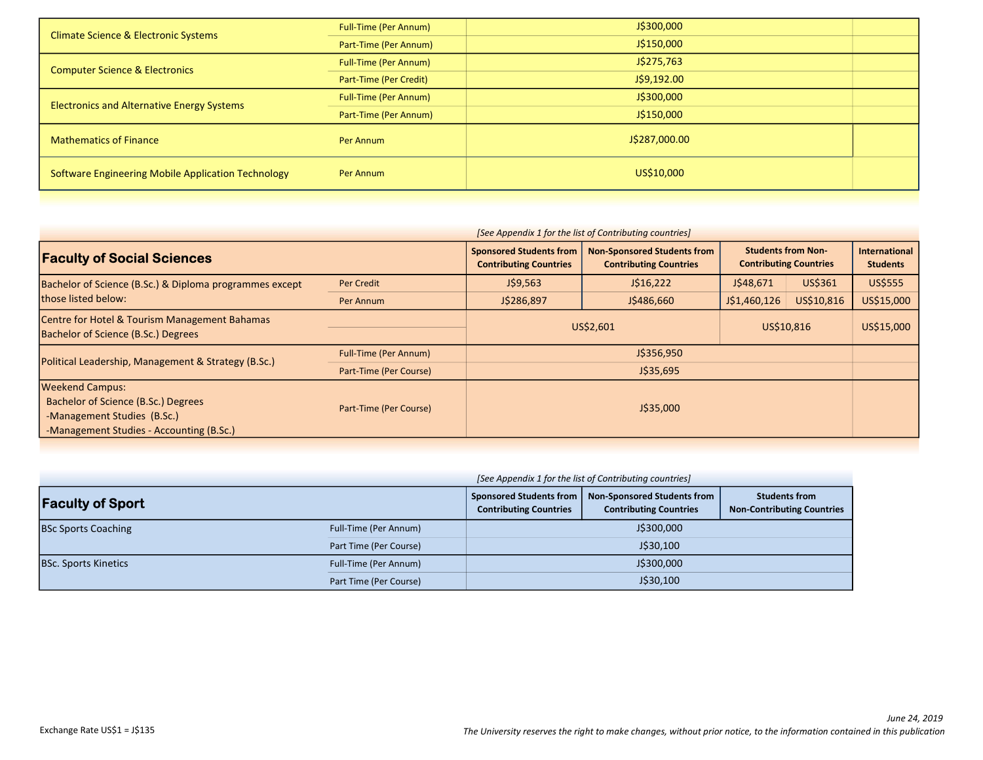| <b>Climate Science &amp; Electronic Systems</b>    | <b>Full-Time (Per Annum)</b> | J\$300,000    |  |
|----------------------------------------------------|------------------------------|---------------|--|
|                                                    | Part-Time (Per Annum)        | J\$150,000    |  |
| <b>Computer Science &amp; Electronics</b>          | <b>Full-Time (Per Annum)</b> | J\$275,763    |  |
|                                                    | Part-Time (Per Credit)       | J\$9,192.00   |  |
| <b>Electronics and Alternative Energy Systems</b>  | <b>Full-Time (Per Annum)</b> | J\$300,000    |  |
|                                                    | Part-Time (Per Annum)        | J\$150,000    |  |
| <b>Mathematics of Finance</b>                      | Per Annum                    | J\$287,000.00 |  |
| Software Engineering Mobile Application Technology | Per Annum                    | US\$10,000    |  |
|                                                    |                              |               |  |

| [See Appendix 1 for the list of Contributing countries]                                                                                  |                              |                                                                                                                                        |            |                                                            |            |                                         |
|------------------------------------------------------------------------------------------------------------------------------------------|------------------------------|----------------------------------------------------------------------------------------------------------------------------------------|------------|------------------------------------------------------------|------------|-----------------------------------------|
| <b>Faculty of Social Sciences</b>                                                                                                        |                              | <b>Non-Sponsored Students from</b><br><b>Sponsored Students from</b><br><b>Contributing Countries</b><br><b>Contributing Countries</b> |            | <b>Students from Non-</b><br><b>Contributing Countries</b> |            | <b>International</b><br><b>Students</b> |
| Bachelor of Science (B.Sc.) & Diploma programmes except                                                                                  | Per Credit                   | J\$9,563                                                                                                                               | J\$16,222  | J\$48,671                                                  | US\$361    | US\$555                                 |
| those listed below:                                                                                                                      | Per Annum                    | J\$286,897                                                                                                                             | J\$486,660 | J\$1,460,126                                               | US\$10,816 | US\$15,000                              |
| Centre for Hotel & Tourism Management Bahamas<br>Bachelor of Science (B.Sc.) Degrees                                                     |                              | US\$2,601                                                                                                                              |            | US\$10,816                                                 |            | US\$15,000                              |
| Political Leadership, Management & Strategy (B.Sc.)                                                                                      | <b>Full-Time (Per Annum)</b> | J\$356,950                                                                                                                             |            |                                                            |            |                                         |
|                                                                                                                                          | Part-Time (Per Course)       | J\$35,695                                                                                                                              |            |                                                            |            |                                         |
| <b>Weekend Campus:</b><br>Bachelor of Science (B.Sc.) Degrees<br>-Management Studies (B.Sc.)<br>-Management Studies - Accounting (B.Sc.) | Part-Time (Per Course)       |                                                                                                                                        | J\$35,000  |                                                            |            |                                         |

|                             | [See Appendix 1 for the list of Contributing countries] |                                                                                                                                   |  |                                                           |  |
|-----------------------------|---------------------------------------------------------|-----------------------------------------------------------------------------------------------------------------------------------|--|-----------------------------------------------------------|--|
| <b>Faculty of Sport</b>     |                                                         | Sponsored Students from  <br><b>Non-Sponsored Students from</b><br><b>Contributing Countries</b><br><b>Contributing Countries</b> |  | <b>Students from</b><br><b>Non-Contributing Countries</b> |  |
| <b>BSc Sports Coaching</b>  | Full-Time (Per Annum)                                   | J\$300,000                                                                                                                        |  |                                                           |  |
|                             | Part Time (Per Course)                                  | J\$30,100                                                                                                                         |  |                                                           |  |
| <b>BSc. Sports Kinetics</b> | Full-Time (Per Annum)                                   | J\$300,000                                                                                                                        |  |                                                           |  |
|                             | Part Time (Per Course)                                  | J\$30,100                                                                                                                         |  |                                                           |  |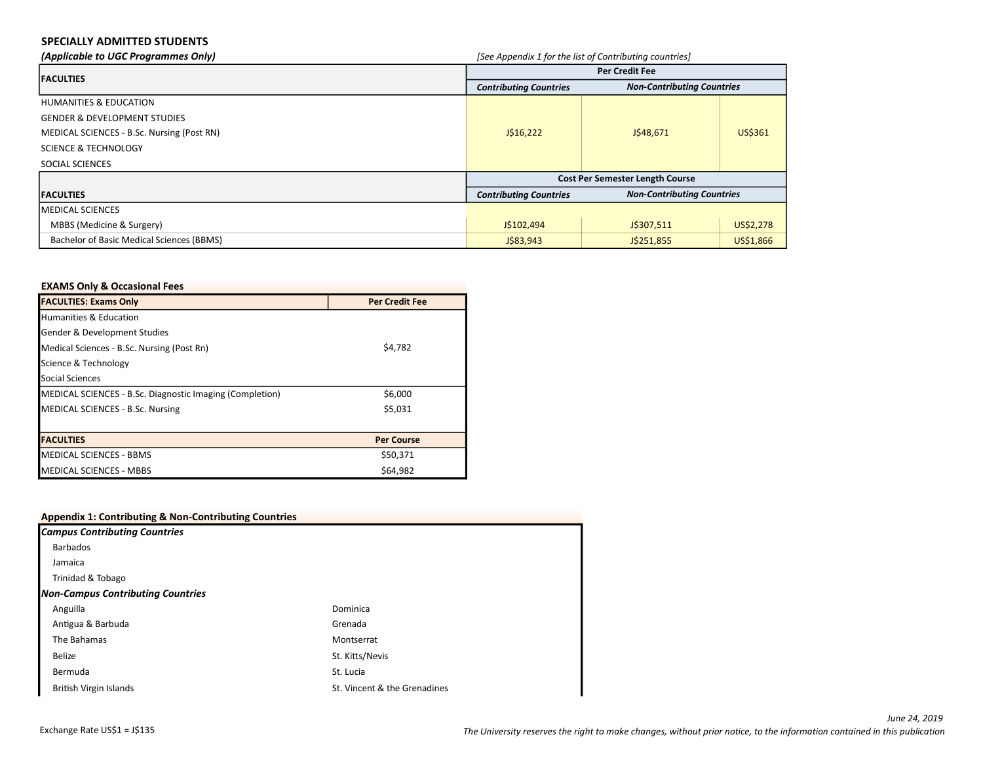## SPECIALLY ADMITTED STUDENTS

| (Applicable to UGC Programmes Only)        | [See Appendix 1 for the list of Contributing countries]            |                                        |           |  |
|--------------------------------------------|--------------------------------------------------------------------|----------------------------------------|-----------|--|
| <b>IFACULTIES</b>                          | Per Credit Fee                                                     |                                        |           |  |
|                                            | <b>Non-Contributing Countries</b><br><b>Contributing Countries</b> |                                        |           |  |
| <b>HUMANITIES &amp; EDUCATION</b>          |                                                                    |                                        |           |  |
| <b>GENDER &amp; DEVELOPMENT STUDIES</b>    |                                                                    |                                        |           |  |
| MEDICAL SCIENCES - B.Sc. Nursing (Post RN) | J\$16,222                                                          | J\$48,671                              | US\$361   |  |
| <b>SCIENCE &amp; TECHNOLOGY</b>            |                                                                    |                                        |           |  |
| SOCIAL SCIENCES                            |                                                                    |                                        |           |  |
|                                            |                                                                    | <b>Cost Per Semester Length Course</b> |           |  |
| <b>FACULTIES</b>                           | <b>Contributing Countries</b>                                      | <b>Non-Contributing Countries</b>      |           |  |
| IMEDICAL SCIENCES                          |                                                                    |                                        |           |  |
| MBBS (Medicine & Surgery)                  | J\$102,494                                                         | J\$307,511                             | US\$2,278 |  |
| Bachelor of Basic Medical Sciences (BBMS)  | J\$83,943                                                          | J\$251,855                             | US\$1,866 |  |

## EXAMS Only & Occasional Fees

| <b>FACULTIES: Exams Only</b>                             | <b>Per Credit Fee</b> |
|----------------------------------------------------------|-----------------------|
| <b>Humanities &amp; Education</b>                        |                       |
| Gender & Development Studies                             |                       |
| Medical Sciences - B.Sc. Nursing (Post Rn)               | \$4,782               |
| Science & Technology                                     |                       |
| Social Sciences                                          |                       |
| MEDICAL SCIENCES - B.Sc. Diagnostic Imaging (Completion) | \$6,000               |
| MEDICAL SCIENCES - B.Sc. Nursing                         | \$5,031               |
|                                                          |                       |
| <b>IFACULTIES</b>                                        | <b>Per Course</b>     |
| <b>MEDICAL SCIENCES - BBMS</b>                           | \$50,371              |
| <b>MEDICAL SCIENCES - MBBS</b>                           | \$64,982              |

| <b>Appendix 1: Contributing &amp; Non-Contributing Countries</b> |                              |  |
|------------------------------------------------------------------|------------------------------|--|
| <b>Campus Contributing Countries</b>                             |                              |  |
| <b>Barbados</b>                                                  |                              |  |
| Jamaica                                                          |                              |  |
| Trinidad & Tobago                                                |                              |  |
| <b>Non-Campus Contributing Countries</b>                         |                              |  |
| Anguilla                                                         | Dominica                     |  |
| Antigua & Barbuda                                                | Grenada                      |  |
| The Bahamas                                                      | Montserrat                   |  |
| <b>Belize</b>                                                    | St. Kitts/Nevis              |  |
| Bermuda                                                          | St. Lucia                    |  |
| <b>British Virgin Islands</b>                                    | St. Vincent & the Grenadines |  |